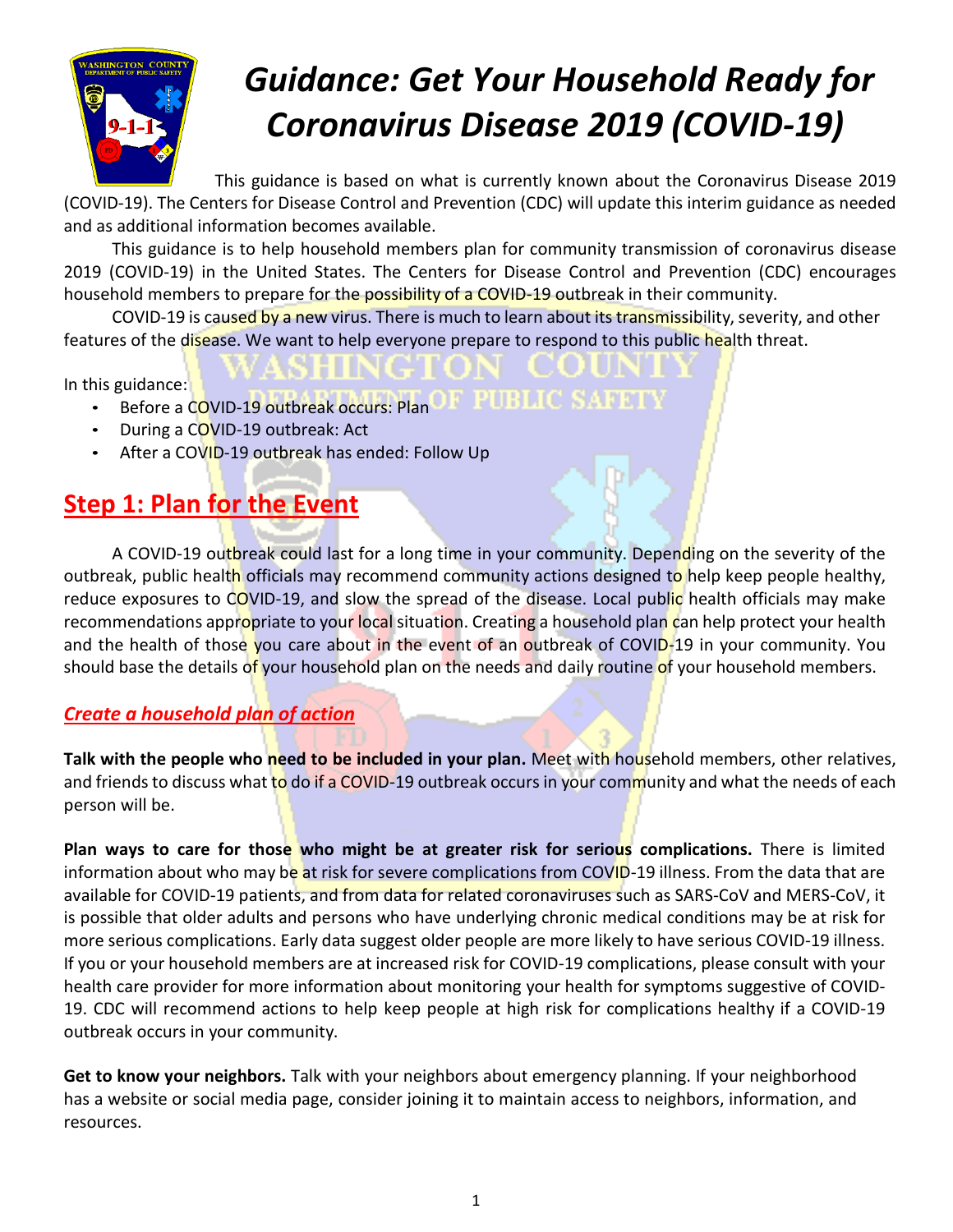

# *Guidance: Get Your Household Ready for Coronavirus Disease 2019 (COVID-19)*

This guidance is based on what is currently known about the [Coronavirus Disease](https://www.cdc.gov/coronavirus/2019-ncov/about/index.html) 2019 [\(COVID-19\). T](https://www.cdc.gov/coronavirus/2019-ncov/about/index.html)he Centers for Disease Control and Prevention (CDC) will update this interim guidance as needed and as additional information becomes available.

This guidance is to help household members plan for community transmission of coronavirus disease 2019 (COVID-19) in the United States. The Centers for Disease Control and Prevention (CDC) encourages household members to prepare for the possibility of a COVID-19 outbreak in their community.

COVID-19 is caused by a new virus. There is [much to learn about its transmissibility, severity,](https://www.cdc.gov/coronavirus/2019-ncov/about/transmission.html) [and other](https://www.cdc.gov/coronavirus/2019-ncov/about/transmission.html) [features of the disease. W](https://www.cdc.gov/coronavirus/2019-ncov/about/transmission.html)e want to help everyone prepare to respond to this public health threat.

In this guidance:

- OM EI DIE EIN DOMESTER OOK HAN Before a [COVID-19 outbreak occurs: Plan](https://www.cdc.gov/coronavirus/2019-ncov/community/get-your-household-ready-for-COVID-19.html#plan)
- During a [COVID-19 outbreak: Act](https://www.cdc.gov/coronavirus/2019-ncov/community/get-your-household-ready-for-COVID-19.html#act)
- After a [COVID-19 outbreak has ended: Follow Up](https://www.cdc.gov/coronavirus/2019-ncov/community/get-your-household-ready-for-COVID-19.html#follow_up)

# **Step 1: Plan for the Event**

A COVID-19 outbreak could last for a long time in your community. Depending on the severity of the outbreak, public health officials may recommend community actions designed to help keep people healthy, reduce exposures to COVID-19, and slow the spread of the disease. Local public health officials may make recommendations appropriate to your local situation. Creating a household plan can help protect your health and the health of those you care about in the event of an outbreak of COVID-19 in your community. You should base the details of your household plan on the needs and daily routine of your household members.

#### *Create a household plan of action*

**Talk with the people who need to be included in your plan.** Meet with household members, other relatives, and friends to discuss what to do if a [COVID-19 outbreak](https://www.cdc.gov/coronavirus/2019-nCoV/summary.html) occurs in your [community](https://www.cdc.gov/coronavirus/2019-nCoV/summary.html) and what the needs of each person will be.

**Plan ways to care for those who might be at greater risk for serious complications.** There is limited information about who may be at risk for [severe complications from](https://www.cdc.gov/coronavirus/2019-ncov/hcp/clinical-guidance-management-patients.html) COVID-19 illness. From the data that are available for COVID-19 patients, and from data for related coronaviruses such as SARS-CoV and MERS-CoV, it is possible that older adults and persons who have underlying chronic medical conditions may be at risk for more serious complications. Early data suggest older people are more likely to have serious COVID-19 illness. If you or your household members are at increased risk for COVID-19 complications, please consult with your health care provider for more information about monitoring your health for [symptoms suggestive](https://www.cdc.gov/coronavirus/2019-ncov/hcp/guidance-prevent-spread.html#precautions) of [COVID-](https://www.cdc.gov/coronavirus/2019-ncov/hcp/guidance-prevent-spread.html#precautions)[19. C](https://www.cdc.gov/coronavirus/2019-ncov/hcp/guidance-prevent-spread.html#precautions)DC will recommend actions to help keep people at high risk for complications healthy if a COVID-19 outbreak occurs in your community.

**Get to know your neighbors.** Talk with your neighbors about emergency planning. If your neighborhood has a website or social media page, consider joining it to maintain access to neighbors, information, and resources.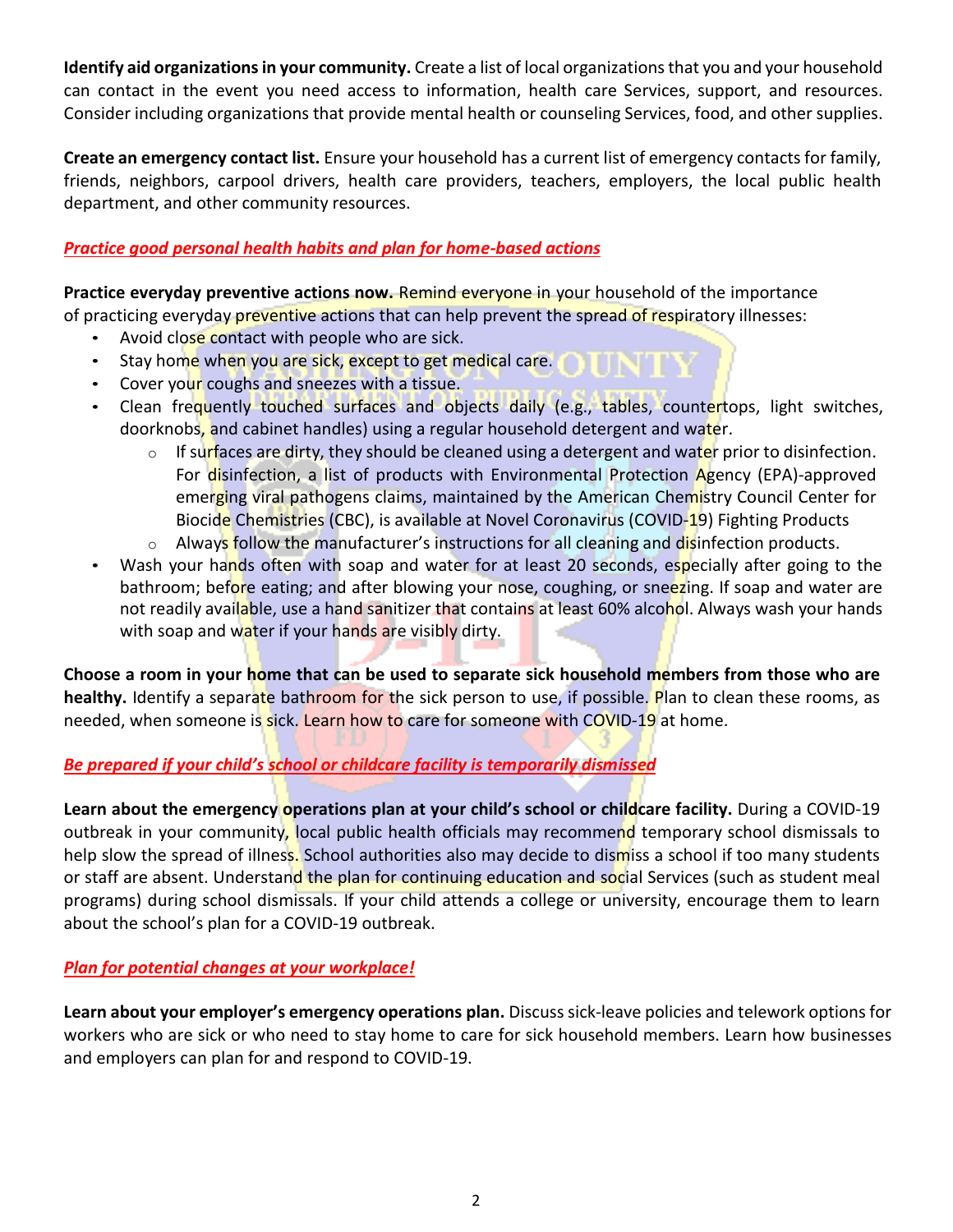**Identify aid organizations in your community.** Create a list of local organizations that you and your household can contact in the event you need access to information, health care Services, support, and resources. Consider including organizations that provide mental health or counseling Services, food, and other supplies.

**Create an emergency contact list.** Ensure your household has a current list of emergency contacts for family, friends, neighbors, carpool drivers, health care providers, teachers, employers, the local public health department, and other community resources.

#### *Practice good personal health habits and plan for home-based actions*

**Practice everyday preventive actions now.** Remind everyone in your household of the importance of practicing everyday preventive actions that can help prevent the spread of respiratory illnesses:

- Avoid close contact with people who are sick.
- Stay home when you are sick, except to get medical care. **The line of the state**
- Cover your coughs and sneezes with a tissue.
- Clean frequently touched surfaces and objects daily (e.g., tables, countertops, light switches, doorknobs, and cabinet handles) using a regular household detergent and water.
	- o If surfaces are dirty, they should be cleaned using a detergent and water prior to disinfection. For disinfection, a list of products with Environmental Protection Agency (EPA)-approved emerging viral pathogens claims, maintained by the American Chemistry Council Center for Biocide Chemistries (CBC), is available at [Novel Coronavirus \(COVID-19\) Fighting](https://www.americanchemistry.com/Novel-Coronavirus-Fighting-Products-List.pdf) Products
	- o Always follow the manufacturer's instructions for all cleaning and disinfection products.
- Wash your hands often with soap and water for at least 20 seconds, especially after going to the bathroom; before eating; and after blowing your nose, coughing, or sneezing. If soap and water are not readily available, use a hand sanitizer that contains at least 60% alcohol. Always wash your hands with soap and water if your hands are visibly dirty.

**Choose a room in your home that can be used to separate sick household members from those who are** healthy. Identify a separate bathroom for the sick person to use, if possible. Plan to clean these rooms, as needed, when someone is sick. [Learn how to care](https://www.cdc.gov/coronavirus/2019-ncov/hcp/guidance-prevent-spread.html) for someone with [COVID-19 at home.](https://www.cdc.gov/coronavirus/2019-ncov/hcp/guidance-prevent-spread.html)

#### *Be prepared if your child's school or childcare facility is temporarily dismissed*

**Learn about the emergency operations plan at your child's school or childcare facility.** During a COVID-19 outbreak in your community, local public health officials may recommend temporary [school dismissals](https://www.cdc.gov/coronavirus/2019-ncov/specific-groups/guidance-for-schools.html) to help slow the spread of illness. School authorities also may decide to dismiss a school if too many students or staff are absent. Understand the plan for continuing education and social Services (such as student meal programs) during school dismissals. If your child attends a college or university, encourage them to learn about the school's plan for a COVID-19 outbreak.

#### *Plan for potential changes at your workplace!*

**Learn about your employer's emergency operations plan.** Discuss sick-leave policies and telework options for workers who are sick or who need to stay home to care for sick household members. [Learn how businesses](https://www.cdc.gov/coronavirus/2019-ncov/specific-groups/guidance-business-response.html)  and employers [can plan for and](https://www.cdc.gov/coronavirus/2019-ncov/specific-groups/guidance-business-response.html) respond to COVID-19.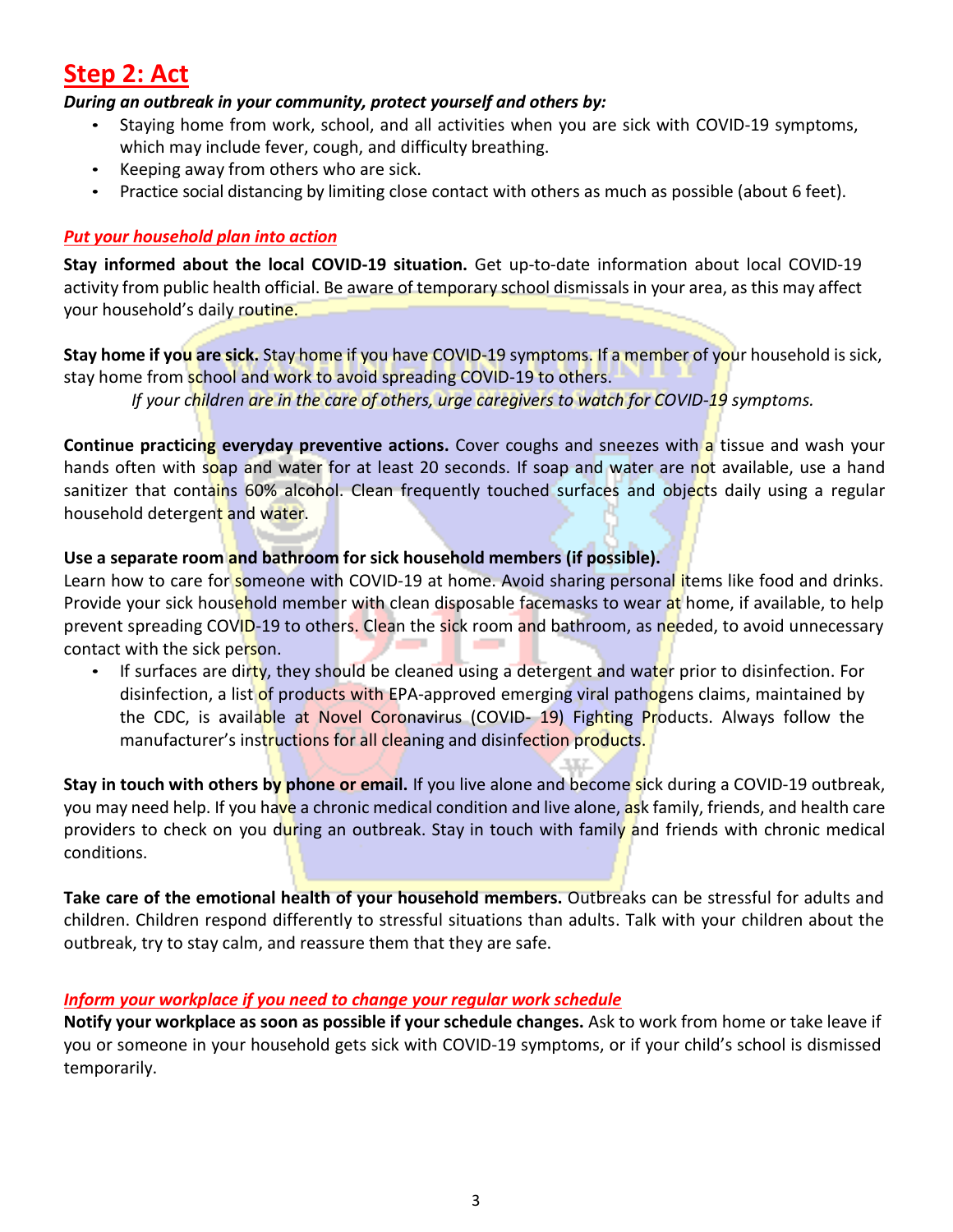## **Step 2: Act**

#### *During an outbreak in your community, protect yourself and others by:*

- Staying home from work, school, and all activities when you are sick with [COVID-19](https://www.cdc.gov/coronavirus/2019-ncov/about/symptoms.html) [symptoms,](https://www.cdc.gov/coronavirus/2019-ncov/about/symptoms.html) which may include fever, cough, and difficulty breathing.
- Keeping away from others who are sick.
- Practice social distancing by limiting close contact with others as much as possible (about 6 feet).

#### *Put your household plan into action*

**Stay informed about the local COVID-19 situation.** Get up-to-date information about local COVID-19 activity from public [health official.](https://www.naccho.org/membership/lhd-directory) Be aware of temporary school dismissals in your area, as this may affect your household's daily routine.

**Stay home if you are sick.** Stay home if you have [COVID-19 symptoms.](https://www.cdc.gov/coronavirus/2019-ncov/about/symptoms.html) If a member of your household is sick, stay home from school and work to avoid spreading COVID-19 to others.

*If your children are in the care of others, urge caregivers to watch for COVID-19 symptoms.*

**Continue practicing everyday preventive actions. Cover coughs and sneezes with a tissue and wash your** hands often with soap and water for at least 20 seconds. If soap and water are not available, use a hand sanitizer that contains 60% alcohol. Clean frequently touched surfaces and objects daily using a regular household detergent and water.

#### **Use a separate room and bathroom for sick household members (if possible).**

Learn how to care for someone [with COVID-19](https://www.cdc.gov/coronavirus/2019-ncov/hcp/guidance-prevent-spread.html) at home. Avoid sharing personal items like food and drinks. Provide your sick household member with clean disposable facemasks to wear at home, if available, to help prevent spreading COVID-19 to others. Clean the sick room and bathroom, as needed, to avoid unnecessary contact with the sick person.

If surfaces are dirty, they should be cleaned using a detergent and water prior to disinfection. For disinfection, a list of products with EPA-approved emerging viral pathogens claims, maintained by the CDC, is available at [Novel Coronavirus \(COVID-](https://www.americanchemistry.com/Novel-Coronavirus-Fighting-Products-List.pdf) [19\) Fighting](https://www.americanchemistry.com/Novel-Coronavirus-Fighting-Products-List.pdf) Products. Always follow the manufacturer's instructions for all cleaning and disinfection products.

**Stay in touch with others by phone or email.** If you live alone and become sick during a COVID-19 outbreak, you may need help. If you have a chronic medical condition and live alone, ask family, friends, and health care providers to check on you during an outbreak. Stay in touch with family and friends with chronic medical conditions.

**Take care of the emotional health of your household members.** Outbreaks can be stressful for adults and children. Children respond differently [to stressful situations than adults.](https://www.cdc.gov/childrenindisasters/helping-children-cope.html) Talk with your children about the outbreak, try to stay calm, and reassure them that they are safe.

#### *Inform your workplace if you need to change your regular work schedule*

**Notify your workplace as soon as possible if your schedule changes.** Ask to work from home or take leave if you or someone in your household gets sick with [COVID-19 symptoms,](https://www.cdc.gov/coronavirus/2019-ncov/about/symptoms.html) or if your child's school is dismissed temporarily.